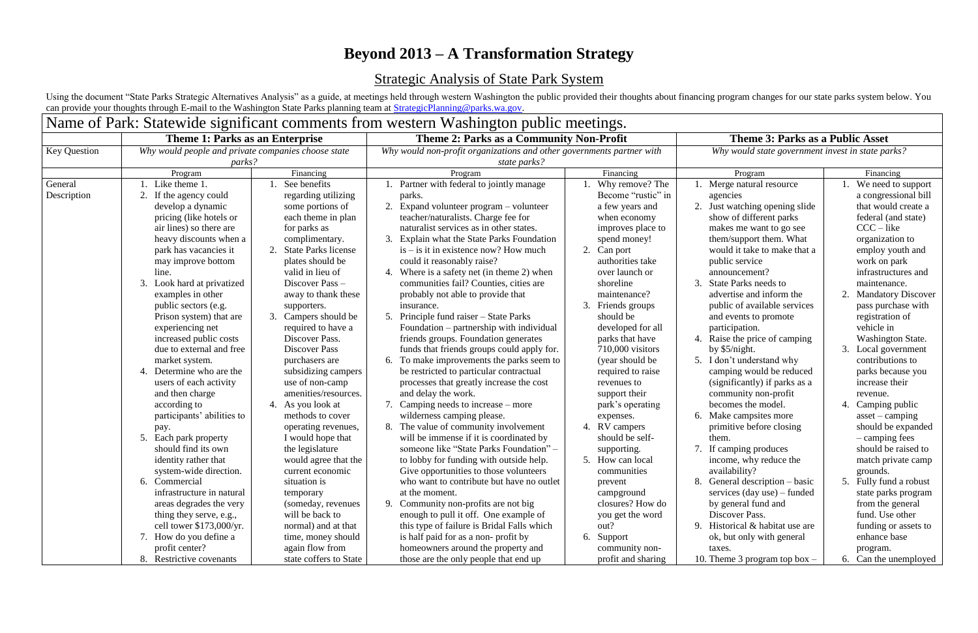# **Beyond 2013 – A Transformation Strategy**

## Strategic Analysis of State Park System

Using the document "State Parks Strategic Alternatives Analysis" as a guide, at meetings held through western Washington the public provided their thoughts about financing program changes for our state parks system below. can provide your thoughts through E-mail to the Washington State Parks planning team at [StrategicPlanning@parks.wa.gov.](mailto:StrategicPlanning@parks.wa.gov)

## Name of Park: Statewide significant comments from western Washington public meetings. **Theme 1: Parks as an Enterprise Theme 2: Parks as a Community Non-Profit Theme 3: Parks as a Public Asset** Key Question *Why would people and private companies choose state parks? Why would non-profit organizations and other governments partner with state parks?* Program National Program Research Program Research Program Research Program Program Financing Program Financing General Description 1. Like theme 1. 2. If the agency could develop a dynamic pricing (like hotels or air lines) so there are heavy discounts when a park has vacancies it may improve bottom line. 3. Look hard at privatized examples in other public sectors (e.g. Prison system) that are experiencing net increased public costs due to external and free market system. 4. Determine who are the users of each activity and then charge according to participants' abilities to pay. 5. Each park property should find its own identity rather that system-wide direction. 6. Commercial infrastructure in natural areas degrades the very thing they serve, e.g., cell tower \$173,000/yr. 7. How do you define a profit center? 8. Restrictive covenants 1. See benefits regarding utilizing some portions of each theme in plan for parks as complimentary. 2. State Parks license plates should be valid in lieu of Discover Pass – away to thank these supporters. 3. Campers should be required to have a Discover Pass. Discover Pass purchasers are subsidizing campers use of non-camp amenities/resources. 4. As you look at methods to cover operating revenues, I would hope that the legislature would agree that the current economic situation is temporary (someday, revenues will be back to normal) and at that time, money should again flow from state coffers to State 1. Partner with federal to jointly manage parks. 2. Expand volunteer program – volunteer teacher/naturalists. Charge fee for naturalist services as in other states. 3. Explain what the State Parks Foundation is – is it in existence now? How much could it reasonably raise? 4. Where is a safety net (in theme 2) when communities fail? Counties, cities are probably not able to provide that insurance. 5. Principle fund raiser – State Parks Foundation – partnership with individual friends groups. Foundation generates funds that friends groups could apply for. 6. To make improvements the parks seem to be restricted to particular contractual processes that greatly increase the cost and delay the work. 7. Camping needs to increase – more wilderness camping please. 8. The value of community involvement will be immense if it is coordinated by someone like "State Parks Foundation" – to lobby for funding with outside help. Give opportunities to those volunteers who want to contribute but have no outlet at the moment. 9. Community non-profits are not big enough to pull it off. One example of this type of failure is Bridal Falls which is half paid for as a non- profit by homeowners around the property and those are the only people that end up 1. Why remove? The Become "rustic" in a few years and when economy improves place to spend money! 2. Can port authorities take over launch or shoreline maintenance? 3. Friends groups should be developed for all parks that have 710,000 visitors (year should be required to raise revenues to support their park's operating expenses. 4. RV campers should be selfsupporting. 5. How can local communities prevent campground closures? How do you get the word out? 6. Support community nonprofit and sharing 1.  $\overline{\mathrm{M}}$ age  $2.$  Just pul ann 3. Sta par 4. Ra  $by$ 5. I do bec 6.  $M<sub>i</sub>$ the 7. If av  $by$ Dis 9. His tax  $10.$  Th

*Why would state government invest in state parks?*

|    | Program                         |    | Financing                 |
|----|---------------------------------|----|---------------------------|
| 1. | Merge natural resource          | l. | We need to support        |
|    | agencies                        |    | a congressional bill      |
| 2. | Just watching opening slide     |    | that would create a       |
|    | show of different parks         |    | federal (and state)       |
|    | makes me want to go see         |    | $CCC - like$              |
|    | them/support them. What         |    | organization to           |
|    | would it take to make that a    |    | employ youth and          |
|    | public service                  |    | work on park              |
|    | announcement?                   |    | infrastructures and       |
| 3. | <b>State Parks needs to</b>     |    | maintenance.              |
|    | advertise and inform the        | 2. | <b>Mandatory Discover</b> |
|    | public of available services    |    | pass purchase with        |
|    | and events to promote           |    | registration of           |
|    | participation.                  |    | vehicle in                |
| 4. | Raise the price of camping      |    | <b>Washington State.</b>  |
|    | by \$5/night.                   | 3. | Local government          |
| 5. | I don't understand why          |    | contributions to          |
|    | camping would be reduced        |    | parks because you         |
|    | (significantly) if parks as a   |    | increase their            |
|    | community non-profit            |    | revenue.                  |
|    | becomes the model.              | 4. | Camping public            |
| 6. | Make campsites more             |    | $asset - camping$         |
|    | primitive before closing        |    | should be expanded        |
|    | them.                           |    | - camping fees            |
| 7. | If camping produces             |    | should be raised to       |
|    | income, why reduce the          |    | match private camp        |
|    | availability?                   |    | grounds.                  |
| 8. | General description - basic     | 5. | Fully fund a robust       |
|    | services (day use) – funded     |    | state parks program       |
|    | by general fund and             |    | from the general          |
|    | Discover Pass.                  |    | fund. Use other           |
| 9. | Historical & habitat use are    |    | funding or assets to      |
|    | ok, but only with general       |    | enhance base              |
|    | taxes.                          |    | program.                  |
|    | 10. Theme 3 program top box $-$ | 6. | Can the unemployed        |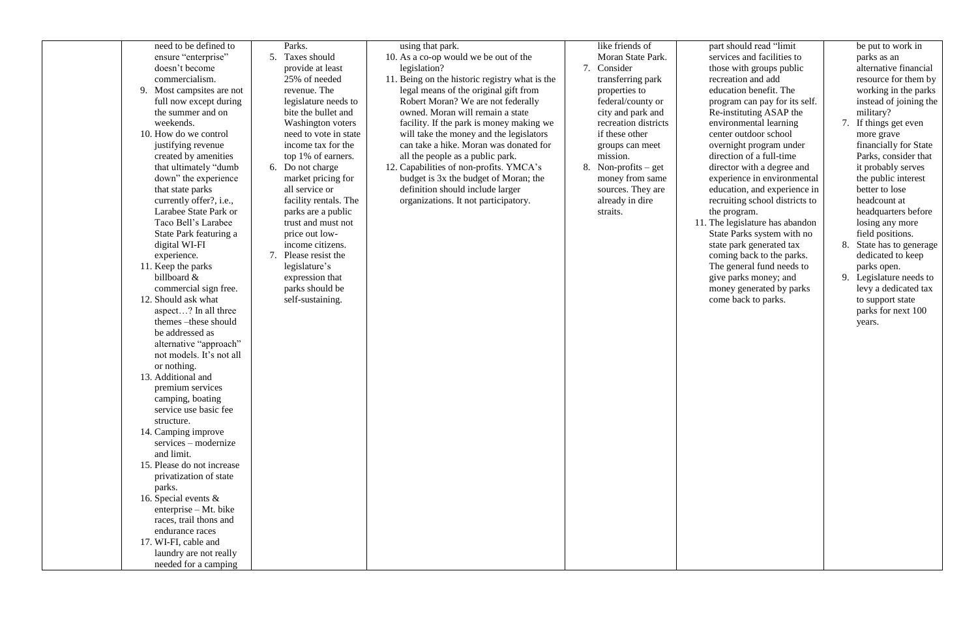| ensure "enterprise"<br>doesn't become<br>commercialism.<br>9. Most campsites are not<br>full now except during<br>the summer and on<br>weekends.<br>10. How do we control<br>justifying revenue<br>created by amenities<br>that ultimately "dumb<br>down" the experience<br>that state parks<br>currently offer?, i.e.,<br>Larabee State Park or<br>Taco Bell's Larabee<br>State Park featuring a<br>digital WI-FI<br>experience.<br>11. Keep the parks<br>billboard &<br>commercial sign free.<br>12. Should ask what<br>aspect? In all three<br>themes -these should<br>be addressed as<br>alternative "approach"<br>not models. It's not all<br>or nothing.<br>13. Additional and<br>premium services<br>camping, boating<br>service use basic fee<br>structure.<br>14. Camping improve<br>services – modernize<br>and limit.<br>15. Please do not increase<br>privatization of state<br>parks.<br>16. Special events $\&$<br>enterprise - Mt. bike<br>races, trail thons and<br>endurance races<br>17. WI-FI, cable and<br>laundry are not really<br>needed for a camping | Taxes should<br>5.<br>provide at least<br>25% of needed<br>revenue. The<br>legislature needs to<br>bite the bullet and<br><b>Washington voters</b><br>need to vote in state<br>income tax for the<br>top 1% of earners.<br>6. Do not charge<br>market pricing for<br>all service or<br>facility rentals. The<br>parks are a public<br>trust and must not<br>price out low-<br>income citizens.<br>Please resist the<br>7.<br>legislature's<br>expression that<br>parks should be<br>self-sustaining. | using that park.<br>10. As a co-op would we be out of the<br>legislation?<br>11. Being on the historic registry what is the<br>legal means of the original gift from<br>Robert Moran? We are not federally<br>owned. Moran will remain a state<br>facility. If the park is money making we<br>will take the money and the legislators<br>can take a hike. Moran was donated for<br>all the people as a public park.<br>12. Capabilities of non-profits. YMCA's<br>budget is 3x the budget of Moran; the<br>definition should include larger<br>organizations. It not participatory. | like friends of<br>Moran State Park.<br>Consider<br>7.<br>transferring park<br>properties to<br>federal/county or<br>city and park and<br>recreation districts<br>if these other<br>groups can meet<br>mission.<br>8.<br>Non-profits $-$ get<br>money from same<br>sources. They are<br>already in dire<br>straits. | 11. |
|-------------------------------------------------------------------------------------------------------------------------------------------------------------------------------------------------------------------------------------------------------------------------------------------------------------------------------------------------------------------------------------------------------------------------------------------------------------------------------------------------------------------------------------------------------------------------------------------------------------------------------------------------------------------------------------------------------------------------------------------------------------------------------------------------------------------------------------------------------------------------------------------------------------------------------------------------------------------------------------------------------------------------------------------------------------------------------|------------------------------------------------------------------------------------------------------------------------------------------------------------------------------------------------------------------------------------------------------------------------------------------------------------------------------------------------------------------------------------------------------------------------------------------------------------------------------------------------------|-------------------------------------------------------------------------------------------------------------------------------------------------------------------------------------------------------------------------------------------------------------------------------------------------------------------------------------------------------------------------------------------------------------------------------------------------------------------------------------------------------------------------------------------------------------------------------------|---------------------------------------------------------------------------------------------------------------------------------------------------------------------------------------------------------------------------------------------------------------------------------------------------------------------|-----|

. The legislature has abandon State Parks system with no state park generated tax coming back to the parks. The general fund needs to give parks money; and money generated by parks come back to parks.

part should read "limit services and facilities to those with groups public recreation and add education benefit. The program can pay for its self. Re-instituting ASAP the environmental learning center outdoor school overnight program under direction of a full-time director with a degree and experience in environmental education, and experience in recruiting school districts to the program.

be put to work in parks as an alternative financial resource for them by working in the parks instead of joining the military?

- 7. If things get even more grave financially for State Parks, consider that it probably serves the public interest better to lose headcount at headquarters before losing any more field positions.
- 8. State has to generage dedicated to keep parks open.
- 9. Legislature needs to levy a dedicated tax to support state parks for next 100 years.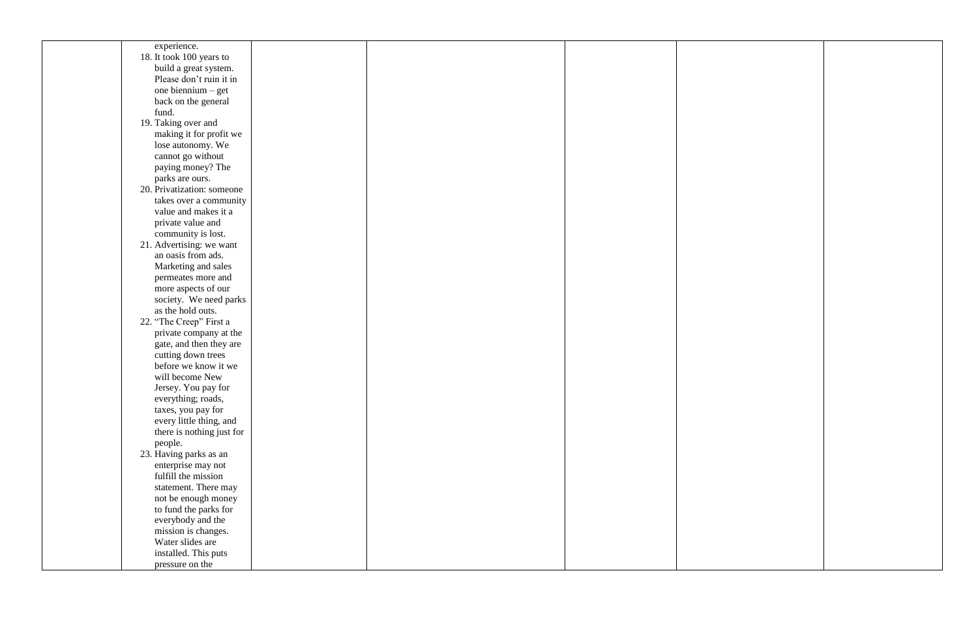| experience.                |  |  |
|----------------------------|--|--|
| 18. It took 100 years to   |  |  |
| build a great system.      |  |  |
| Please don't ruin it in    |  |  |
| one biennium - get         |  |  |
|                            |  |  |
| back on the general        |  |  |
| fund.                      |  |  |
| 19. Taking over and        |  |  |
| making it for profit we    |  |  |
| lose autonomy. We          |  |  |
| cannot go without          |  |  |
| paying money? The          |  |  |
| parks are ours.            |  |  |
| 20. Privatization: someone |  |  |
| takes over a community     |  |  |
| value and makes it a       |  |  |
| private value and          |  |  |
|                            |  |  |
| community is lost.         |  |  |
| 21. Advertising: we want   |  |  |
| an oasis from ads.         |  |  |
| Marketing and sales        |  |  |
| permeates more and         |  |  |
| more aspects of our        |  |  |
| society. We need parks     |  |  |
| as the hold outs.          |  |  |
| 22. "The Creep" First a    |  |  |
| private company at the     |  |  |
| gate, and then they are    |  |  |
| cutting down trees         |  |  |
| before we know it we       |  |  |
| will become New            |  |  |
| Jersey. You pay for        |  |  |
| everything; roads,         |  |  |
|                            |  |  |
| taxes, you pay for         |  |  |
| every little thing, and    |  |  |
| there is nothing just for  |  |  |
| people.                    |  |  |
| 23. Having parks as an     |  |  |
| enterprise may not         |  |  |
| fulfill the mission        |  |  |
| statement. There may       |  |  |
| not be enough money        |  |  |
| to fund the parks for      |  |  |
| everybody and the          |  |  |
| mission is changes.        |  |  |
| Water slides are           |  |  |
|                            |  |  |
| installed. This puts       |  |  |
| pressure on the            |  |  |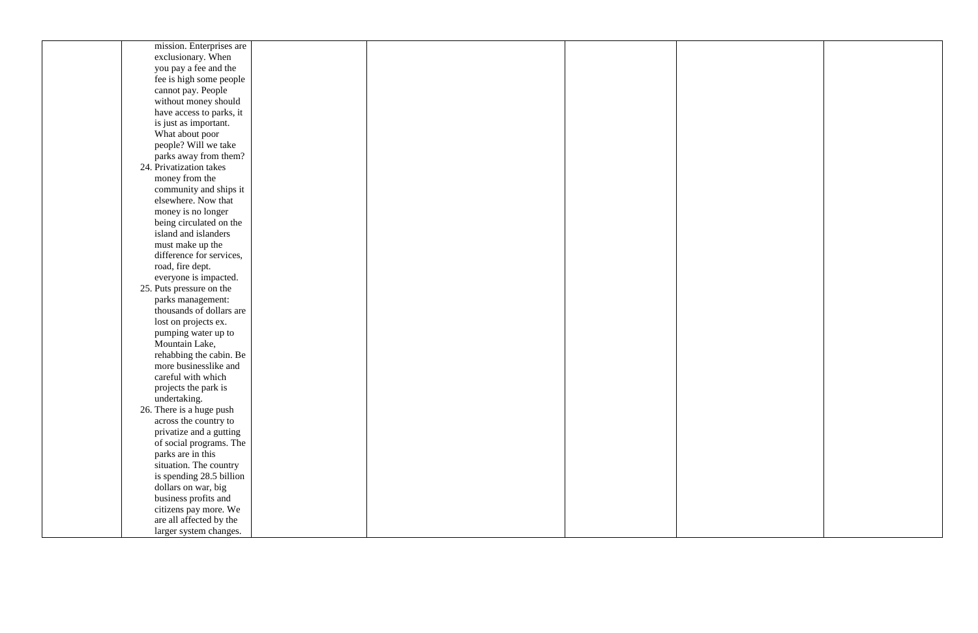| mission. Enterprises are |  |  |
|--------------------------|--|--|
| exclusionary. When       |  |  |
| you pay a fee and the    |  |  |
| fee is high some people  |  |  |
| cannot pay. People       |  |  |
| without money should     |  |  |
| have access to parks, it |  |  |
| is just as important.    |  |  |
| What about poor          |  |  |
| people? Will we take     |  |  |
| parks away from them?    |  |  |
| 24. Privatization takes  |  |  |
| money from the           |  |  |
| community and ships it   |  |  |
| elsewhere. Now that      |  |  |
| money is no longer       |  |  |
| being circulated on the  |  |  |
| island and islanders     |  |  |
| must make up the         |  |  |
| difference for services, |  |  |
| road, fire dept.         |  |  |
| everyone is impacted.    |  |  |
| 25. Puts pressure on the |  |  |
| parks management:        |  |  |
| thousands of dollars are |  |  |
| lost on projects ex.     |  |  |
| pumping water up to      |  |  |
| Mountain Lake,           |  |  |
| rehabbing the cabin. Be  |  |  |
| more businesslike and    |  |  |
| careful with which       |  |  |
| projects the park is     |  |  |
| undertaking.             |  |  |
| 26. There is a huge push |  |  |
| across the country to    |  |  |
| privatize and a gutting  |  |  |
| of social programs. The  |  |  |
| parks are in this        |  |  |
| situation. The country   |  |  |
| is spending 28.5 billion |  |  |
| dollars on war, big      |  |  |
| business profits and     |  |  |
| citizens pay more. We    |  |  |
| are all affected by the  |  |  |
| larger system changes.   |  |  |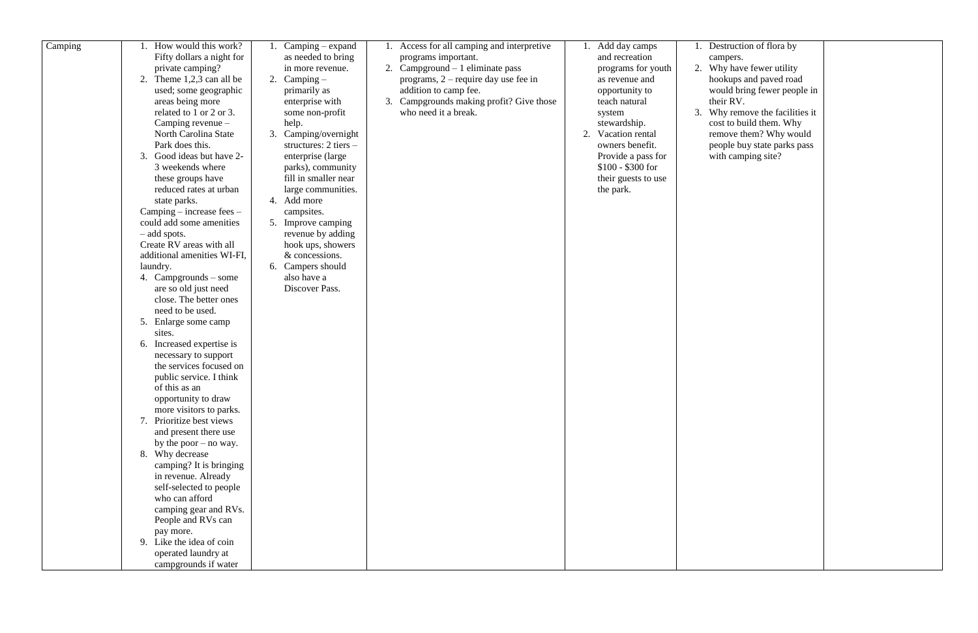| Camping | How would this work?<br>Fifty dollars a night for<br>private camping?<br>2. Theme $1,2,3$ can all be<br>used; some geographic<br>areas being more<br>related to 1 or 2 or 3.<br>Camping revenue -<br>North Carolina State<br>Park does this.<br>3. Good ideas but have 2-<br>3 weekends where<br>these groups have<br>reduced rates at urban<br>state parks.<br>$Camping - increase fees -$<br>could add some amenities<br>$-$ add spots.<br>Create RV areas with all<br>additional amenities WI-FI,<br>laundry.<br>4. Campgrounds – some<br>are so old just need<br>close. The better ones<br>need to be used.<br>5. Enlarge some camp<br>sites.<br>6. Increased expertise is<br>necessary to support<br>the services focused on<br>public service. I think<br>of this as an<br>opportunity to draw<br>more visitors to parks.<br>7. Prioritize best views | Camping – expand<br>as needed to bring<br>in more revenue.<br>2. Camping $-$<br>primarily as<br>enterprise with<br>some non-profit<br>help.<br>3. Camping/overnight<br>structures: $2$ tiers $-$<br>enterprise (large<br>parks), community<br>fill in smaller near<br>large communities.<br>4. Add more<br>campsites.<br>5. Improve camping<br>revenue by adding<br>hook ups, showers<br>& concessions.<br>6. Campers should<br>also have a<br>Discover Pass. | Access for all camping and interpretive<br>programs important.<br>2. Campground – 1 eliminate pass<br>programs, $2$ – require day use fee in<br>addition to camp fee.<br>3. Campgrounds making profit? Give those<br>who need it a break. | Add day camps<br>and recreation<br>programs for youth<br>as revenue and<br>opportunity to<br>teach natural<br>system<br>stewardship.<br>2. Vacation rental<br>owners benefit.<br>Provide a pass for<br>$$100 - $300$ for<br>their guests to use<br>the park. | Destruction of flora by<br>campers.<br>2. Why have fewer utility<br>hookups and paved road<br>would bring fewer people in<br>their RV.<br>3. Why remove the facilities it<br>cost to build them. Why<br>remove them? Why would<br>people buy state parks pass<br>with camping site? |  |
|---------|-------------------------------------------------------------------------------------------------------------------------------------------------------------------------------------------------------------------------------------------------------------------------------------------------------------------------------------------------------------------------------------------------------------------------------------------------------------------------------------------------------------------------------------------------------------------------------------------------------------------------------------------------------------------------------------------------------------------------------------------------------------------------------------------------------------------------------------------------------------|---------------------------------------------------------------------------------------------------------------------------------------------------------------------------------------------------------------------------------------------------------------------------------------------------------------------------------------------------------------------------------------------------------------------------------------------------------------|-------------------------------------------------------------------------------------------------------------------------------------------------------------------------------------------------------------------------------------------|--------------------------------------------------------------------------------------------------------------------------------------------------------------------------------------------------------------------------------------------------------------|-------------------------------------------------------------------------------------------------------------------------------------------------------------------------------------------------------------------------------------------------------------------------------------|--|
|         |                                                                                                                                                                                                                                                                                                                                                                                                                                                                                                                                                                                                                                                                                                                                                                                                                                                             |                                                                                                                                                                                                                                                                                                                                                                                                                                                               |                                                                                                                                                                                                                                           |                                                                                                                                                                                                                                                              |                                                                                                                                                                                                                                                                                     |  |
|         |                                                                                                                                                                                                                                                                                                                                                                                                                                                                                                                                                                                                                                                                                                                                                                                                                                                             |                                                                                                                                                                                                                                                                                                                                                                                                                                                               |                                                                                                                                                                                                                                           |                                                                                                                                                                                                                                                              |                                                                                                                                                                                                                                                                                     |  |
|         | and present there use<br>by the poor $-$ no way.<br>8. Why decrease                                                                                                                                                                                                                                                                                                                                                                                                                                                                                                                                                                                                                                                                                                                                                                                         |                                                                                                                                                                                                                                                                                                                                                                                                                                                               |                                                                                                                                                                                                                                           |                                                                                                                                                                                                                                                              |                                                                                                                                                                                                                                                                                     |  |
|         | camping? It is bringing<br>in revenue. Already<br>self-selected to people<br>who can afford                                                                                                                                                                                                                                                                                                                                                                                                                                                                                                                                                                                                                                                                                                                                                                 |                                                                                                                                                                                                                                                                                                                                                                                                                                                               |                                                                                                                                                                                                                                           |                                                                                                                                                                                                                                                              |                                                                                                                                                                                                                                                                                     |  |
|         | camping gear and RVs.<br>People and RVs can<br>pay more.<br>9. Like the idea of coin                                                                                                                                                                                                                                                                                                                                                                                                                                                                                                                                                                                                                                                                                                                                                                        |                                                                                                                                                                                                                                                                                                                                                                                                                                                               |                                                                                                                                                                                                                                           |                                                                                                                                                                                                                                                              |                                                                                                                                                                                                                                                                                     |  |
|         | operated laundry at<br>campgrounds if water                                                                                                                                                                                                                                                                                                                                                                                                                                                                                                                                                                                                                                                                                                                                                                                                                 |                                                                                                                                                                                                                                                                                                                                                                                                                                                               |                                                                                                                                                                                                                                           |                                                                                                                                                                                                                                                              |                                                                                                                                                                                                                                                                                     |  |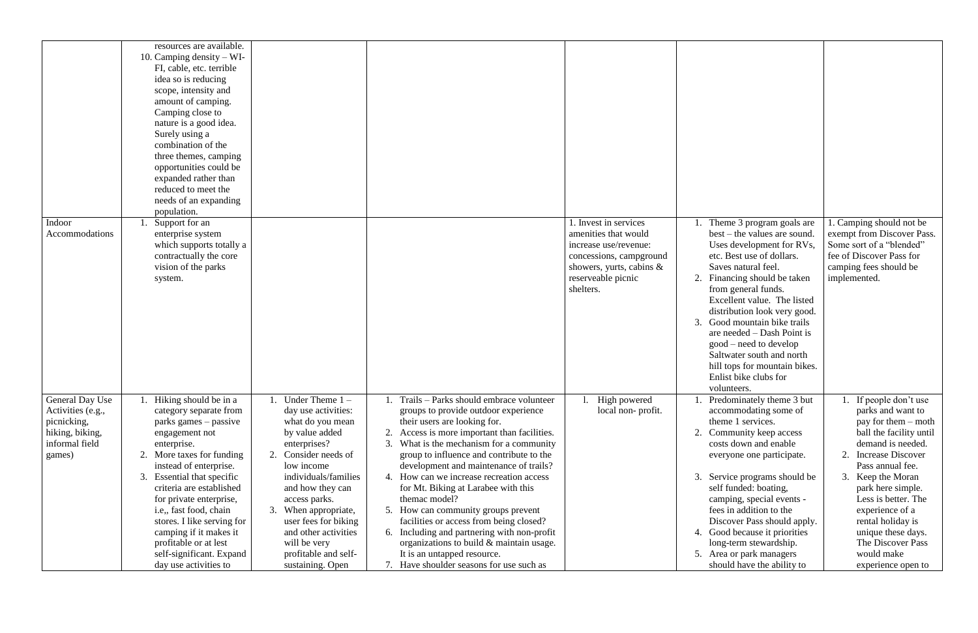|                                                                                                           | resources are available.<br>10. Camping density $-WI$ -<br>FI, cable, etc. terrible<br>idea so is reducing<br>scope, intensity and<br>amount of camping.<br>Camping close to<br>nature is a good idea.<br>Surely using a<br>combination of the<br>three themes, camping<br>opportunities could be<br>expanded rather than<br>reduced to meet the<br>needs of an expanding<br>population.                                                                                                                                                                                                                                                                                                                                                                              |                                                                                                                                                                                                                                                                                                                                                                                                                                                                                                                                                                                                                                                            |                                                                                                                                                                 |                                                                                                                                                                                                                                                                                                                                                                                                                                                                        |                                                                                                                                                                                                                                                                                                                                                          |
|-----------------------------------------------------------------------------------------------------------|-----------------------------------------------------------------------------------------------------------------------------------------------------------------------------------------------------------------------------------------------------------------------------------------------------------------------------------------------------------------------------------------------------------------------------------------------------------------------------------------------------------------------------------------------------------------------------------------------------------------------------------------------------------------------------------------------------------------------------------------------------------------------|------------------------------------------------------------------------------------------------------------------------------------------------------------------------------------------------------------------------------------------------------------------------------------------------------------------------------------------------------------------------------------------------------------------------------------------------------------------------------------------------------------------------------------------------------------------------------------------------------------------------------------------------------------|-----------------------------------------------------------------------------------------------------------------------------------------------------------------|------------------------------------------------------------------------------------------------------------------------------------------------------------------------------------------------------------------------------------------------------------------------------------------------------------------------------------------------------------------------------------------------------------------------------------------------------------------------|----------------------------------------------------------------------------------------------------------------------------------------------------------------------------------------------------------------------------------------------------------------------------------------------------------------------------------------------------------|
| Indoor<br>Accommodations                                                                                  | Support for an<br>enterprise system<br>which supports totally a<br>contractually the core<br>vision of the parks<br>system.                                                                                                                                                                                                                                                                                                                                                                                                                                                                                                                                                                                                                                           |                                                                                                                                                                                                                                                                                                                                                                                                                                                                                                                                                                                                                                                            | . Invest in services<br>amenities that would<br>increase use/revenue:<br>concessions, campground<br>showers, yurts, cabins &<br>reserveable picnic<br>shelters. | Theme 3 program goals are<br>best – the values are sound.<br>Uses development for RVs,<br>etc. Best use of dollars.<br>Saves natural feel.<br>2.<br>Financing should be taken<br>from general funds.<br>Excellent value. The listed<br>distribution look very good.<br>Good mountain bike trails<br>3.<br>are needed $-$ Dash Point is<br>good – need to develop<br>Saltwater south and north<br>hill tops for mountain bikes.<br>Enlist bike clubs for<br>volunteers. | Camping should not be<br>exempt from Discover Pass.<br>Some sort of a "blended"<br>fee of Discover Pass for<br>camping fees should be<br>implemented.                                                                                                                                                                                                    |
| <b>General Day Use</b><br>Activities (e.g.,<br>picnicking,<br>hiking, biking,<br>informal field<br>games) | Hiking should be in a<br>Under Theme $1 -$<br>day use activities:<br>category separate from<br>parks games – passive<br>what do you mean<br>by value added<br>engagement not<br>enterprises?<br>enterprise.<br>Consider needs of<br>2. More taxes for funding<br>2.<br>instead of enterprise.<br>low income<br>individuals/families<br><b>Essential that specific</b><br>criteria are established<br>and how they can<br>for private enterprise,<br>access parks.<br>i.e., fast food, chain<br>3. When appropriate,<br>stores. I like serving for<br>user fees for biking<br>and other activities<br>camping if it makes it<br>profitable or at lest<br>will be very<br>self-significant. Expand<br>profitable and self-<br>day use activities to<br>sustaining. Open | Trails - Parks should embrace volunteer<br>groups to provide outdoor experience<br>their users are looking for.<br>2. Access is more important than facilities.<br>What is the mechanism for a community<br>group to influence and contribute to the<br>development and maintenance of trails?<br>4. How can we increase recreation access<br>for Mt. Biking at Larabee with this<br>themac model?<br>5. How can community groups prevent<br>facilities or access from being closed?<br>6. Including and partnering with non-profit<br>organizations to build & maintain usage.<br>It is an untapped resource.<br>7. Have shoulder seasons for use such as | High powered<br>local non-profit.                                                                                                                               | Predominately theme 3 but<br>accommodating some of<br>theme 1 services.<br>Community keep access<br>costs down and enable<br>everyone one participate.<br>Service programs should be<br>3.<br>self funded: boating,<br>camping, special events -<br>fees in addition to the<br>Discover Pass should apply.<br>4. Good because it priorities<br>long-term stewardship.<br>5. Area or park managers<br>should have the ability to                                        | 1. If people don't use<br>parks and want to<br>pay for them $-$ moth<br>ball the facility until<br>demand is needed.<br>2. Increase Discover<br>Pass annual fee.<br>3. Keep the Moran<br>park here simple.<br>Less is better. The<br>experience of a<br>rental holiday is<br>unique these days.<br>The Discover Pass<br>would make<br>experience open to |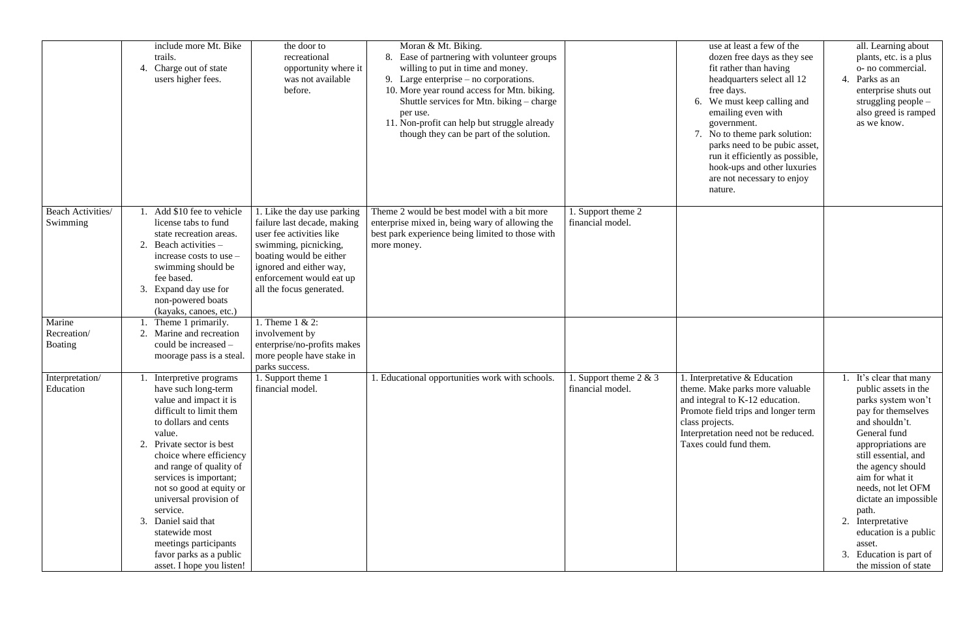|                                         | include more Mt. Bike<br>trails.<br>4. Charge out of state<br>users higher fees.                                                                                                                                                                                                                                                                                                                                                                   | the door to<br>recreational<br>opportunity where it<br>was not available<br>before.                                                                                                                                           | Moran & Mt. Biking.<br>8. Ease of partnering with volunteer groups<br>willing to put in time and money.<br>9. Large enterprise $-$ no corporations.<br>10. More year round access for Mtn. biking.<br>Shuttle services for Mtn. biking – charge<br>per use.<br>11. Non-profit can help but struggle already<br>though they can be part of the solution. |                                           | use at least a few of the<br>dozen free days as they see<br>fit rather than having<br>headquarters select all 12<br>free days.<br>6. We must keep calling and<br>emailing even with<br>government.<br>7. No to theme park solution:<br>parks need to be pubic asset,<br>run it efficiently as possible,<br>hook-ups and other luxuries<br>are not necessary to enjoy<br>nature. | all. Learning about<br>plants, etc. is a plus<br>o- no commercial.<br>Parks as an<br>4.<br>enterprise shuts out<br>struggling people -<br>also greed is ramped<br>as we know.                                                                                                                                                                                                       |
|-----------------------------------------|----------------------------------------------------------------------------------------------------------------------------------------------------------------------------------------------------------------------------------------------------------------------------------------------------------------------------------------------------------------------------------------------------------------------------------------------------|-------------------------------------------------------------------------------------------------------------------------------------------------------------------------------------------------------------------------------|---------------------------------------------------------------------------------------------------------------------------------------------------------------------------------------------------------------------------------------------------------------------------------------------------------------------------------------------------------|-------------------------------------------|---------------------------------------------------------------------------------------------------------------------------------------------------------------------------------------------------------------------------------------------------------------------------------------------------------------------------------------------------------------------------------|-------------------------------------------------------------------------------------------------------------------------------------------------------------------------------------------------------------------------------------------------------------------------------------------------------------------------------------------------------------------------------------|
| Beach Activities/<br>Swimming           | Add \$10 fee to vehicle<br>license tabs to fund<br>state recreation areas.<br>2.<br>Beach activities $-$<br>increase costs to use $-$<br>swimming should be<br>fee based.<br>3.<br>Expand day use for<br>non-powered boats<br>(kayaks, canoes, etc.)                                                                                                                                                                                               | 1. Like the day use parking<br>failure last decade, making<br>user fee activities like<br>swimming, picnicking,<br>boating would be either<br>ignored and either way,<br>enforcement would eat up<br>all the focus generated. | Theme 2 would be best model with a bit more<br>enterprise mixed in, being wary of allowing the<br>best park experience being limited to those with<br>more money.                                                                                                                                                                                       | . Support theme 2<br>financial model.     |                                                                                                                                                                                                                                                                                                                                                                                 |                                                                                                                                                                                                                                                                                                                                                                                     |
| Marine<br>Recreation/<br><b>Boating</b> | Theme 1 primarily.<br>Marine and recreation<br>2.<br>could be increased –<br>moorage pass is a steal.                                                                                                                                                                                                                                                                                                                                              | 1. Theme $1 < 2$ :<br>involvement by<br>enterprise/no-profits makes<br>more people have stake in<br>parks success.                                                                                                            |                                                                                                                                                                                                                                                                                                                                                         |                                           |                                                                                                                                                                                                                                                                                                                                                                                 |                                                                                                                                                                                                                                                                                                                                                                                     |
| Interpretation/<br>Education            | Interpretive programs<br>have such long-term<br>value and impact it is<br>difficult to limit them<br>to dollars and cents<br>value.<br>Private sector is best<br>2.<br>choice where efficiency<br>and range of quality of<br>services is important;<br>not so good at equity or<br>universal provision of<br>service.<br>Daniel said that<br>3.<br>statewide most<br>meetings participants<br>favor parks as a public<br>asset. I hope you listen! | 1. Support theme 1<br>financial model.                                                                                                                                                                                        | . Educational opportunities work with schools.                                                                                                                                                                                                                                                                                                          | Support theme $2 & 3$<br>financial model. | . Interpretative $&$ Education<br>theme. Make parks more valuable<br>and integral to K-12 education.<br>Promote field trips and longer term<br>class projects.<br>Interpretation need not be reduced.<br>Taxes could fund them.                                                                                                                                                 | It's clear that many<br>public assets in the<br>parks system won't<br>pay for themselves<br>and shouldn't.<br>General fund<br>appropriations are<br>still essential, and<br>the agency should<br>aim for what it<br>needs, not let OFM<br>dictate an impossible<br>path.<br>2. Interpretative<br>education is a public<br>asset.<br>3. Education is part of<br>the mission of state |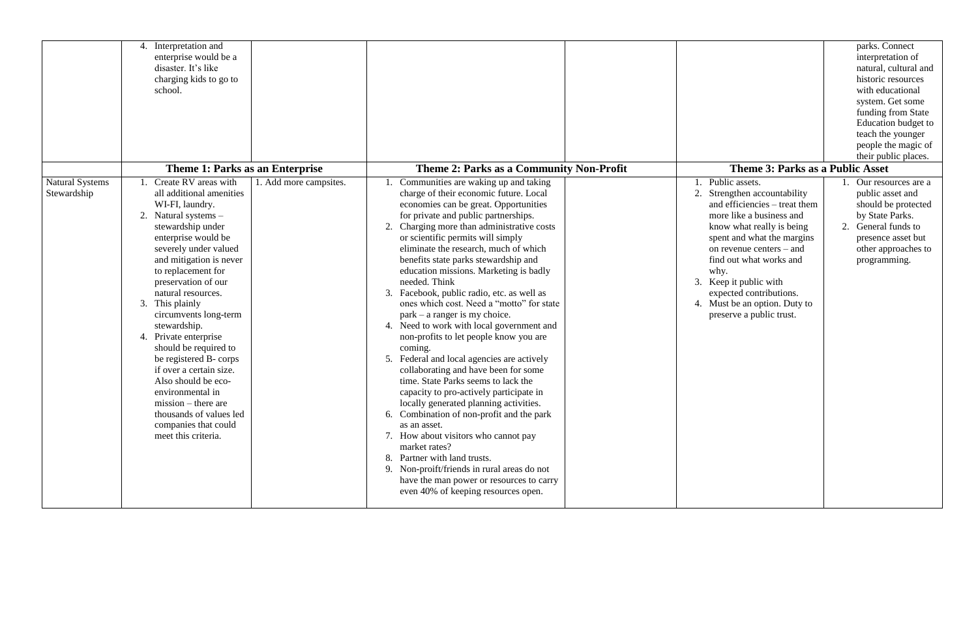|                                       | Interpretation and<br>4.<br>enterprise would be a<br>disaster. It's like<br>charging kids to go to<br>school.<br><b>Theme 1: Parks as an Enterprise</b>                                                                                                                                                                                                                                                                                                                                                                                                                           |                        | <b>Theme 2: Parks as a Community Non-Profit</b>                                                                                                                                                                                                                                                                                                                                                                                                                                                                                                                                                                                                                                                                                                                                                                                                                                                                                                                                                                                                                                                                                        | <b>Theme 3: Parks as a Public Asset</b>                                                                                                                                                                                                                                                                                                                         | parks. Connect<br>interpretation of<br>natural, cultural and<br>historic resources<br>with educational<br>system. Get some<br>funding from State<br>Education budget to<br>teach the younger<br>people the magic of<br>their public places. |
|---------------------------------------|-----------------------------------------------------------------------------------------------------------------------------------------------------------------------------------------------------------------------------------------------------------------------------------------------------------------------------------------------------------------------------------------------------------------------------------------------------------------------------------------------------------------------------------------------------------------------------------|------------------------|----------------------------------------------------------------------------------------------------------------------------------------------------------------------------------------------------------------------------------------------------------------------------------------------------------------------------------------------------------------------------------------------------------------------------------------------------------------------------------------------------------------------------------------------------------------------------------------------------------------------------------------------------------------------------------------------------------------------------------------------------------------------------------------------------------------------------------------------------------------------------------------------------------------------------------------------------------------------------------------------------------------------------------------------------------------------------------------------------------------------------------------|-----------------------------------------------------------------------------------------------------------------------------------------------------------------------------------------------------------------------------------------------------------------------------------------------------------------------------------------------------------------|---------------------------------------------------------------------------------------------------------------------------------------------------------------------------------------------------------------------------------------------|
| <b>Natural Systems</b><br>Stewardship | Create RV areas with<br>all additional amenities<br>WI-FI, laundry.<br>2.<br>Natural systems -<br>stewardship under<br>enterprise would be<br>severely under valued<br>and mitigation is never<br>to replacement for<br>preservation of our<br>natural resources.<br>3. This plainly<br>circumvents long-term<br>stewardship.<br>4. Private enterprise<br>should be required to<br>be registered B-corps<br>if over a certain size.<br>Also should be eco-<br>environmental in<br>$mission - there are$<br>thousands of values led<br>companies that could<br>meet this criteria. | 1. Add more campsites. | Communities are waking up and taking<br>charge of their economic future. Local<br>economies can be great. Opportunities<br>for private and public partnerships.<br>Charging more than administrative costs<br>or scientific permits will simply<br>eliminate the research, much of which<br>benefits state parks stewardship and<br>education missions. Marketing is badly<br>needed. Think<br>Facebook, public radio, etc. as well as<br>3.<br>ones which cost. Need a "motto" for state<br>park – a ranger is my choice.<br>4. Need to work with local government and<br>non-profits to let people know you are<br>coming.<br>5. Federal and local agencies are actively<br>collaborating and have been for some<br>time. State Parks seems to lack the<br>capacity to pro-actively participate in<br>locally generated planning activities.<br>6. Combination of non-profit and the park<br>as an asset.<br>7. How about visitors who cannot pay<br>market rates?<br>8. Partner with land trusts.<br>9. Non-proift/friends in rural areas do not<br>have the man power or resources to carry<br>even 40% of keeping resources open. | Public assets.<br>2.<br>Strengthen accountability<br>and efficiencies – treat them<br>more like a business and<br>know what really is being<br>spent and what the margins<br>on revenue centers $-$ and<br>find out what works and<br>why.<br>Keep it public with<br>3.<br>expected contributions.<br>4. Must be an option. Duty to<br>preserve a public trust. | Our resources are a<br>public asset and<br>should be protected<br>by State Parks.<br>2. General funds to<br>presence asset but<br>other approaches to<br>programming.                                                                       |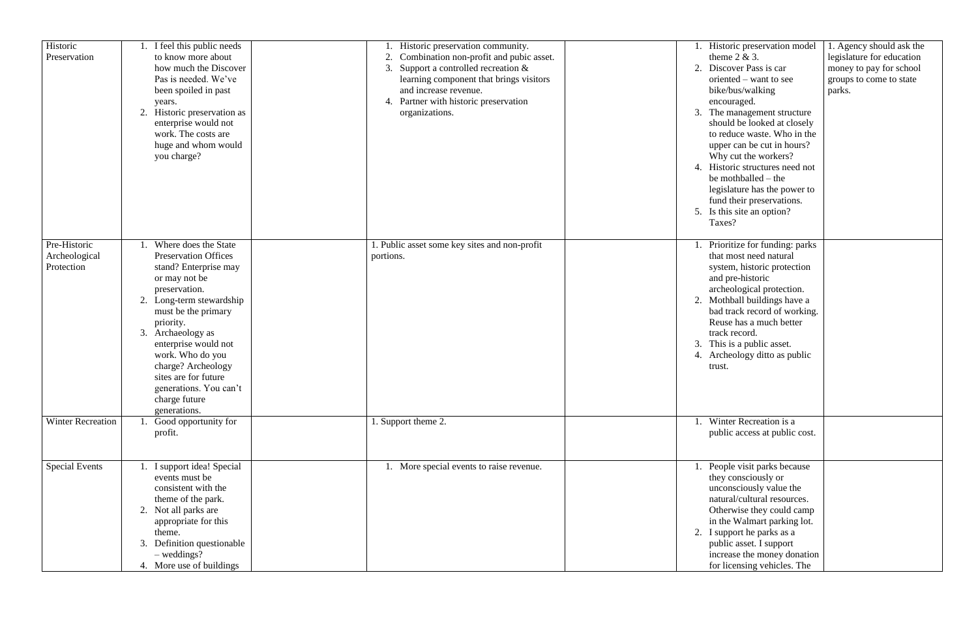| Historic<br>Preservation      | I feel this public needs<br>to know more about<br>how much the Discover<br>Pas is needed. We've<br>been spoiled in past<br>years.<br>2. Historic preservation as<br>enterprise would not<br>work. The costs are<br>huge and whom would<br>you charge?                                             | Historic preservation community.<br>Combination non-profit and pubic asset.<br>3. Support a controlled recreation $&$<br>learning component that brings visitors<br>and increase revenue.<br>4. Partner with historic preservation<br>organizations. | 1. Historic preservation model<br>1. Agency should ask the<br>theme $2 & 3$ .<br>legislature for education<br>Discover Pass is car<br>2.<br>money to pay for school<br>oriented – want to see<br>groups to come to state<br>bike/bus/walking<br>parks.<br>encouraged.<br>3. The management structure<br>should be looked at closely<br>to reduce waste. Who in the<br>upper can be cut in hours?<br>Why cut the workers?<br>4. Historic structures need not<br>be mothballed $-$ the<br>legislature has the power to<br>fund their preservations. |
|-------------------------------|---------------------------------------------------------------------------------------------------------------------------------------------------------------------------------------------------------------------------------------------------------------------------------------------------|------------------------------------------------------------------------------------------------------------------------------------------------------------------------------------------------------------------------------------------------------|---------------------------------------------------------------------------------------------------------------------------------------------------------------------------------------------------------------------------------------------------------------------------------------------------------------------------------------------------------------------------------------------------------------------------------------------------------------------------------------------------------------------------------------------------|
| Pre-Historic<br>Archeological | Where does the State<br><b>Preservation Offices</b>                                                                                                                                                                                                                                               | 1. Public asset some key sites and non-profit<br>portions.                                                                                                                                                                                           | 5. Is this site an option?<br>Taxes?<br>1. Prioritize for funding: parks<br>that most need natural                                                                                                                                                                                                                                                                                                                                                                                                                                                |
| Protection                    | stand? Enterprise may<br>or may not be<br>preservation.<br>2. Long-term stewardship<br>must be the primary<br>priority.<br>3. Archaeology as<br>enterprise would not<br>work. Who do you<br>charge? Archeology<br>sites are for future<br>generations. You can't<br>charge future<br>generations. |                                                                                                                                                                                                                                                      | system, historic protection<br>and pre-historic<br>archeological protection.<br>2. Mothball buildings have a<br>bad track record of working.<br>Reuse has a much better<br>track record.<br>3. This is a public asset.<br>4. Archeology ditto as public<br>trust.                                                                                                                                                                                                                                                                                 |
| <b>Winter Recreation</b>      | Good opportunity for<br>profit.                                                                                                                                                                                                                                                                   | 1. Support theme 2.                                                                                                                                                                                                                                  | 1. Winter Recreation is a<br>public access at public cost.                                                                                                                                                                                                                                                                                                                                                                                                                                                                                        |
| Special Events                | I support idea! Special<br>events must be<br>consistent with the<br>theme of the park.<br>2. Not all parks are<br>appropriate for this<br>theme.<br>3. Definition questionable<br>$-$ weddings?<br>4. More use of buildings                                                                       | 1. More special events to raise revenue.                                                                                                                                                                                                             | People visit parks because<br>they consciously or<br>unconsciously value the<br>natural/cultural resources.<br>Otherwise they could camp<br>in the Walmart parking lot.<br>2. I support he parks as a<br>public asset. I support<br>increase the money donation<br>for licensing vehicles. The                                                                                                                                                                                                                                                    |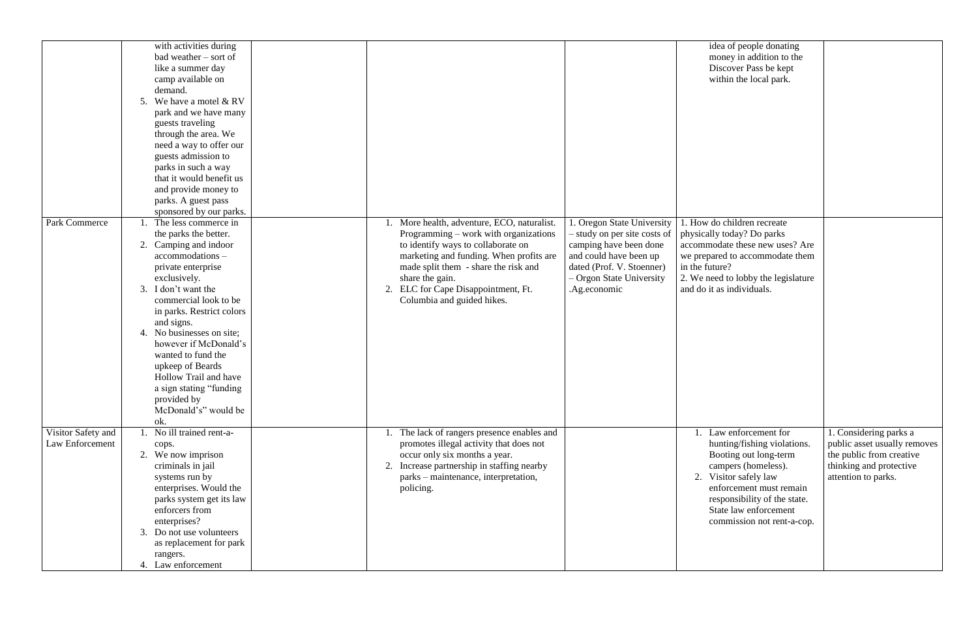|                    | with activities during     |    |                                             |                              | idea of         |
|--------------------|----------------------------|----|---------------------------------------------|------------------------------|-----------------|
|                    | bad weather – sort of      |    |                                             |                              | money           |
|                    | like a summer day          |    |                                             |                              | Discoy          |
|                    | camp available on          |    |                                             |                              | within          |
|                    |                            |    |                                             |                              |                 |
|                    | demand.                    |    |                                             |                              |                 |
|                    | We have a motel & RV<br>5. |    |                                             |                              |                 |
|                    | park and we have many      |    |                                             |                              |                 |
|                    | guests traveling           |    |                                             |                              |                 |
|                    | through the area. We       |    |                                             |                              |                 |
|                    |                            |    |                                             |                              |                 |
|                    | need a way to offer our    |    |                                             |                              |                 |
|                    | guests admission to        |    |                                             |                              |                 |
|                    | parks in such a way        |    |                                             |                              |                 |
|                    | that it would benefit us   |    |                                             |                              |                 |
|                    | and provide money to       |    |                                             |                              |                 |
|                    |                            |    |                                             |                              |                 |
|                    | parks. A guest pass        |    |                                             |                              |                 |
|                    | sponsored by our parks.    |    |                                             |                              |                 |
| Park Commerce      | The less commerce in       |    | More health, adventure, ECO, naturalist.    | 1. Oregon State University   | 1. How do chi   |
|                    | the parks the better.      |    | Programming – work with organizations       | - study on per site costs of | physically tod  |
|                    | Camping and indoor<br>2.   |    | to identify ways to collaborate on          | camping have been done       | accommodate     |
|                    |                            |    |                                             |                              |                 |
|                    | accommodations-            |    | marketing and funding. When profits are     | and could have been up       | we prepared to  |
|                    | private enterprise         |    | made split them - share the risk and        | dated (Prof. V. Stoenner)    | in the future?  |
|                    | exclusively.               |    | share the gain.                             | - Orgon State University     | 2. We need to   |
|                    | I don't want the<br>3.     | 2. | ELC for Cape Disappointment, Ft.            | .Ag.economic                 | and do it as in |
|                    | commercial look to be      |    | Columbia and guided hikes.                  |                              |                 |
|                    |                            |    |                                             |                              |                 |
|                    | in parks. Restrict colors  |    |                                             |                              |                 |
|                    | and signs.                 |    |                                             |                              |                 |
|                    | 4. No businesses on site;  |    |                                             |                              |                 |
|                    | however if McDonald's      |    |                                             |                              |                 |
|                    | wanted to fund the         |    |                                             |                              |                 |
|                    | upkeep of Beards           |    |                                             |                              |                 |
|                    |                            |    |                                             |                              |                 |
|                    | Hollow Trail and have      |    |                                             |                              |                 |
|                    | a sign stating "funding"   |    |                                             |                              |                 |
|                    | provided by                |    |                                             |                              |                 |
|                    | McDonald's" would be       |    |                                             |                              |                 |
|                    | ok.                        |    |                                             |                              |                 |
|                    |                            |    |                                             |                              |                 |
| Visitor Safety and | No ill trained rent-a-     |    | 1. The lack of rangers presence enables and |                              | 1. Law $e$      |
| Law Enforcement    | cops.                      |    | promotes illegal activity that does not     |                              | huntin          |
|                    | 2. We now imprison         |    | occur only six months a year.               |                              | <b>Bootir</b>   |
|                    | criminals in jail          |    | Increase partnership in staffing nearby     |                              | campe           |
|                    | systems run by             |    | parks – maintenance, interpretation,        |                              | 2.<br>Visitor   |
|                    |                            |    |                                             |                              |                 |
|                    | enterprises. Would the     |    | policing.                                   |                              | enforc          |
|                    | parks system get its law   |    |                                             |                              | respon          |
|                    | enforcers from             |    |                                             |                              | State 1         |
|                    | enterprises?               |    |                                             |                              | comm            |
|                    | 3. Do not use volunteers   |    |                                             |                              |                 |
|                    |                            |    |                                             |                              |                 |
|                    | as replacement for park    |    |                                             |                              |                 |
|                    | rangers.                   |    |                                             |                              |                 |
|                    | 4. Law enforcement         |    |                                             |                              |                 |

| idea of people donating             |                              |
|-------------------------------------|------------------------------|
| money in addition to the            |                              |
| Discover Pass be kept               |                              |
| within the local park.              |                              |
|                                     |                              |
|                                     |                              |
|                                     |                              |
|                                     |                              |
|                                     |                              |
|                                     |                              |
|                                     |                              |
|                                     |                              |
|                                     |                              |
|                                     |                              |
|                                     |                              |
|                                     |                              |
|                                     |                              |
| 1. How do children recreate         |                              |
| physically today? Do parks          |                              |
| accommodate these new uses? Are     |                              |
| we prepared to accommodate them     |                              |
| in the future?                      |                              |
| 2. We need to lobby the legislature |                              |
| and do it as individuals.           |                              |
|                                     |                              |
|                                     |                              |
|                                     |                              |
|                                     |                              |
|                                     |                              |
|                                     |                              |
|                                     |                              |
|                                     |                              |
|                                     |                              |
|                                     |                              |
|                                     |                              |
|                                     |                              |
|                                     |                              |
| Law enforcement for<br>1.           | 1. Considering parks a       |
| hunting/fishing violations.         | public asset usually removes |
| Booting out long-term               | the public from creative     |
| campers (homeless).                 | thinking and protective      |
| 2. Visitor safely law               | attention to parks.          |
| enforcement must remain             |                              |
| responsibility of the state.        |                              |
| State law enforcement               |                              |
| commission not rent-a-cop.          |                              |
|                                     |                              |
|                                     |                              |
|                                     |                              |
|                                     |                              |
|                                     |                              |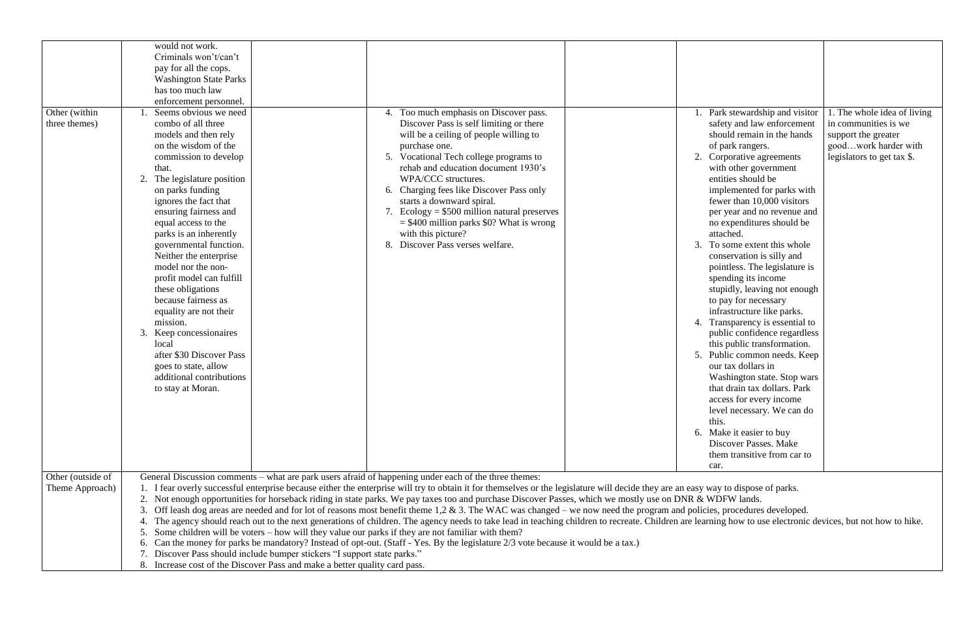|                   | would not work.               |                                                                            |                                                                                                                                                                                                            |                                    |                             |
|-------------------|-------------------------------|----------------------------------------------------------------------------|------------------------------------------------------------------------------------------------------------------------------------------------------------------------------------------------------------|------------------------------------|-----------------------------|
|                   | Criminals won't/can't         |                                                                            |                                                                                                                                                                                                            |                                    |                             |
|                   | pay for all the cops.         |                                                                            |                                                                                                                                                                                                            |                                    |                             |
|                   | <b>Washington State Parks</b> |                                                                            |                                                                                                                                                                                                            |                                    |                             |
|                   | has too much law              |                                                                            |                                                                                                                                                                                                            |                                    |                             |
|                   | enforcement personnel.        |                                                                            |                                                                                                                                                                                                            |                                    |                             |
| Other (within     | Seems obvious we need         |                                                                            | 4. Too much emphasis on Discover pass.                                                                                                                                                                     | Park stewardship and visitor       | 1. The whole idea of living |
| three themes)     | combo of all three            |                                                                            | Discover Pass is self limiting or there                                                                                                                                                                    | safety and law enforcement         | in communities is we        |
|                   | models and then rely          |                                                                            | will be a ceiling of people willing to                                                                                                                                                                     | should remain in the hands         | support the greater         |
|                   | on the wisdom of the          |                                                                            | purchase one.                                                                                                                                                                                              | of park rangers.                   | goodwork harder with        |
|                   |                               |                                                                            | 5. Vocational Tech college programs to                                                                                                                                                                     |                                    |                             |
|                   | commission to develop         |                                                                            | rehab and education document 1930's                                                                                                                                                                        | 2. Corporative agreements          | legislators to get tax \$.  |
|                   | that.                         |                                                                            |                                                                                                                                                                                                            | with other government              |                             |
|                   | The legislature position      |                                                                            | WPA/CCC structures.                                                                                                                                                                                        | entities should be                 |                             |
|                   | on parks funding              |                                                                            | 6. Charging fees like Discover Pass only                                                                                                                                                                   | implemented for parks with         |                             |
|                   | ignores the fact that         |                                                                            | starts a downward spiral.                                                                                                                                                                                  | fewer than 10,000 visitors         |                             |
|                   | ensuring fairness and         |                                                                            | 7. Ecology = $$500$ million natural preserves                                                                                                                                                              | per year and no revenue and        |                             |
|                   | equal access to the           |                                                                            | $=$ \$400 million parks \$0? What is wrong                                                                                                                                                                 | no expenditures should be          |                             |
|                   | parks is an inherently        |                                                                            | with this picture?                                                                                                                                                                                         | attached.                          |                             |
|                   | governmental function.        |                                                                            | 8. Discover Pass verses welfare.                                                                                                                                                                           | To some extent this whole<br>3.    |                             |
|                   | Neither the enterprise        |                                                                            |                                                                                                                                                                                                            | conservation is silly and          |                             |
|                   | model nor the non-            |                                                                            |                                                                                                                                                                                                            | pointless. The legislature is      |                             |
|                   | profit model can fulfill      |                                                                            |                                                                                                                                                                                                            | spending its income                |                             |
|                   | these obligations             |                                                                            |                                                                                                                                                                                                            | stupidly, leaving not enough       |                             |
|                   | because fairness as           |                                                                            |                                                                                                                                                                                                            | to pay for necessary               |                             |
|                   | equality are not their        |                                                                            |                                                                                                                                                                                                            | infrastructure like parks.         |                             |
|                   | mission.                      |                                                                            |                                                                                                                                                                                                            | Transparency is essential to<br>4. |                             |
|                   | 3. Keep concessionaires       |                                                                            |                                                                                                                                                                                                            | public confidence regardless       |                             |
|                   | local                         |                                                                            |                                                                                                                                                                                                            | this public transformation.        |                             |
|                   | after \$30 Discover Pass      |                                                                            |                                                                                                                                                                                                            | Public common needs. Keep<br>5.    |                             |
|                   | goes to state, allow          |                                                                            |                                                                                                                                                                                                            | our tax dollars in                 |                             |
|                   | additional contributions      |                                                                            |                                                                                                                                                                                                            | Washington state. Stop wars        |                             |
|                   | to stay at Moran.             |                                                                            |                                                                                                                                                                                                            | that drain tax dollars. Park       |                             |
|                   |                               |                                                                            |                                                                                                                                                                                                            | access for every income            |                             |
|                   |                               |                                                                            |                                                                                                                                                                                                            | level necessary. We can do         |                             |
|                   |                               |                                                                            |                                                                                                                                                                                                            | this.                              |                             |
|                   |                               |                                                                            |                                                                                                                                                                                                            | 6. Make it easier to buy           |                             |
|                   |                               |                                                                            |                                                                                                                                                                                                            | Discover Passes. Make              |                             |
|                   |                               |                                                                            |                                                                                                                                                                                                            | them transitive from car to        |                             |
|                   |                               |                                                                            |                                                                                                                                                                                                            | car.                               |                             |
| Other (outside of |                               |                                                                            | General Discussion comments – what are park users afraid of happening under each of the three themes:                                                                                                      |                                    |                             |
| Theme Approach)   |                               |                                                                            | I fear overly successful enterprise because either the enterprise will try to obtain it for themselves or the legislature will decide they are an easy way to dispose of parks.                            |                                    |                             |
|                   | 2.                            |                                                                            | Not enough opportunities for horseback riding in state parks. We pay taxes too and purchase Discover Passes, which we mostly use on DNR & WDFW lands.                                                      |                                    |                             |
|                   |                               |                                                                            | Off leash dog areas are needed and for lot of reasons most benefit theme 1,2 & 3. The WAC was changed - we now need the program and policies, procedures developed.                                        |                                    |                             |
|                   |                               |                                                                            | The agency should reach out to the next generations of children. The agency needs to take lead in teaching children to recreate. Children are learning how to use electronic devices, but not how to hike. |                                    |                             |
|                   |                               |                                                                            | Some children will be voters – how will they value our parks if they are not familiar with them?                                                                                                           |                                    |                             |
|                   |                               |                                                                            |                                                                                                                                                                                                            |                                    |                             |
|                   | 6.                            |                                                                            | Can the money for parks be mandatory? Instead of opt-out. (Staff - Yes. By the legislature 2/3 vote because it would be a tax.)                                                                            |                                    |                             |
|                   |                               | Discover Pass should include bumper stickers "I support state parks."      |                                                                                                                                                                                                            |                                    |                             |
|                   |                               | 8. Increase cost of the Discover Pass and make a better quality card pass. |                                                                                                                                                                                                            |                                    |                             |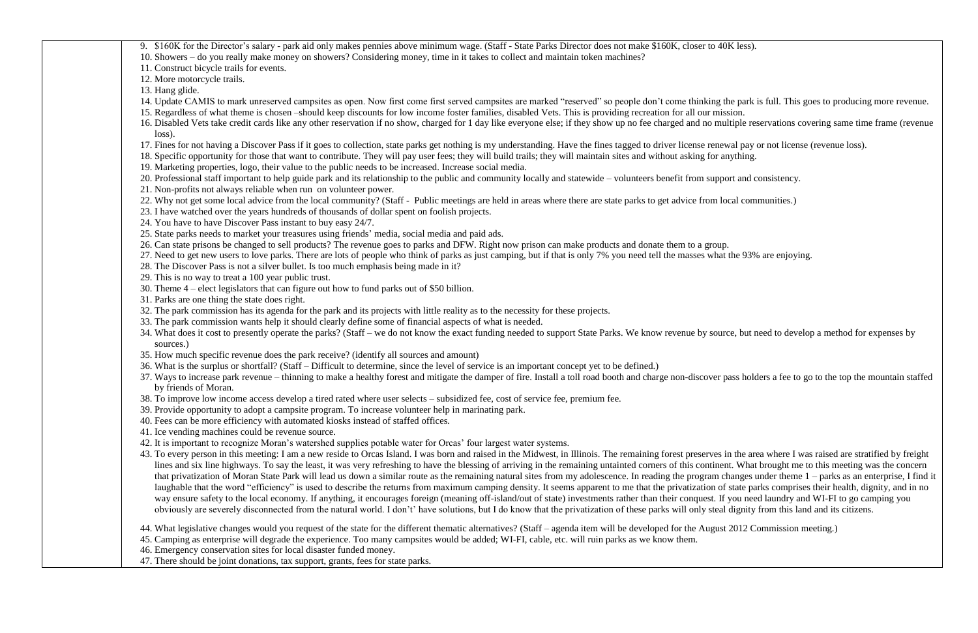| 9. \$160K for the Director's salary - park aid only makes pennies above minimum wage. (Staff - State Parks Director does not make \$160K, closer to 40K less).                                                 |
|----------------------------------------------------------------------------------------------------------------------------------------------------------------------------------------------------------------|
| 10. Showers – do you really make money on showers? Considering money, time in it takes to collect and maintain token machines?                                                                                 |
| 11. Construct bicycle trails for events.                                                                                                                                                                       |
| 12. More motorcycle trails.                                                                                                                                                                                    |
| 13. Hang glide.                                                                                                                                                                                                |
| 14. Update CAMIS to mark unreserved campsites as open. Now first come first served campsites are marked "reserved" so people don't come thinking the park is full. This goes to producing more reve            |
| 15. Regardless of what theme is chosen -should keep discounts for low income foster families, disabled Vets. This is providing recreation for all our mission.                                                 |
| 16. Disabled Vets take credit cards like any other reservation if no show, charged for 1 day like everyone else; if they show up no fee charged and no multiple reservations covering same time frame (rev     |
| $loss)$ .                                                                                                                                                                                                      |
| 17. Fines for not having a Discover Pass if it goes to collection, state parks get nothing is my understanding. Have the fines tagged to driver license renewal pay or not license (revenue loss).             |
| 18. Specific opportunity for those that want to contribute. They will pay user fees; they will build trails; they will maintain sites and without asking for anything.                                         |
| 19. Marketing properties, logo, their value to the public needs to be increased. Increase social media.                                                                                                        |
| 20. Professional staff important to help guide park and its relationship to the public and community locally and statewide – volunteers benefit from support and consistency.                                  |
| 21. Non-profits not always reliable when run on volunteer power.                                                                                                                                               |
| 22. Why not get some local advice from the local community? (Staff - Public meetings are held in areas where there are state parks to get advice from local communities.)                                      |
| 23. I have watched over the years hundreds of thousands of dollar spent on foolish projects.                                                                                                                   |
| 24. You have to have Discover Pass instant to buy easy 24/7.                                                                                                                                                   |
| 25. State parks needs to market your treasures using friends' media, social media and paid ads.                                                                                                                |
| 26. Can state prisons be changed to sell products? The revenue goes to parks and DFW. Right now prison can make products and donate them to a group.                                                           |
| 27. Need to get new users to love parks. There are lots of people who think of parks as just camping, but if that is only 7% you need tell the masses what the 93% are enjoying.                               |
| 28. The Discover Pass is not a silver bullet. Is too much emphasis being made in it?                                                                                                                           |
| 29. This is no way to treat a 100 year public trust.                                                                                                                                                           |
| 30. Theme $4$ – elect legislators that can figure out how to fund parks out of \$50 billion.                                                                                                                   |
| 31. Parks are one thing the state does right.                                                                                                                                                                  |
| 32. The park commission has its agenda for the park and its projects with little reality as to the necessity for these projects.                                                                               |
| 33. The park commission wants help it should clearly define some of financial aspects of what is needed.                                                                                                       |
| 34. What does it cost to presently operate the parks? (Staff - we do not know the exact funding needed to support State Parks. We know revenue by source, but need to develop a method for expenses by         |
| sources.)                                                                                                                                                                                                      |
| 35. How much specific revenue does the park receive? (identify all sources and amount)                                                                                                                         |
| 36. What is the surplus or shortfall? (Staff – Difficult to determine, since the level of service is an important concept yet to be defined.)                                                                  |
| 37. Ways to increase park revenue – thinning to make a healthy forest and mitigate the damper of fire. Install a toll road booth and charge non-discover pass holders a fee to go to the top the mountain st   |
| by friends of Moran.                                                                                                                                                                                           |
| 38. To improve low income access develop a tired rated where user selects – subsidized fee, cost of service fee, premium fee.                                                                                  |
| 39. Provide opportunity to adopt a campsite program. To increase volunteer help in marinating park.                                                                                                            |
| 40. Fees can be more efficiency with automated kiosks instead of staffed offices.                                                                                                                              |
| 41. Ice vending machines could be revenue source.                                                                                                                                                              |
| 42. It is important to recognize Moran's watershed supplies potable water for Orcas' four largest water systems.                                                                                               |
| 43. To every person in this meeting: I am a new reside to Orcas Island. I was born and raised in the Midwest, in Illinois. The remaining forest preserves in the area where I was raised are stratified by fre |
| lines and six line highways. To say the least, it was very refreshing to have the blessing of arriving in the remaining untainted corners of this continent. What brought me to this meeting was the cond      |
| that privatization of Moran State Park will lead us down a similar route as the remaining natural sites from my adolescence. In reading the program changes under theme 1 - parks as an enterprise, I          |
| laughable that the word "efficiency" is used to describe the returns from maximum camping density. It seems apparent to me that the privatization of state parks comprises their health, dignity, and i        |
| way ensure safety to the local economy. If anything, it encourages foreign (meaning off-island/out of state) investments rather than their conquest. If you need laundry and WI-FI to go camping you           |
| obviously are severely disconnected from the natural world. I don't' have solutions, but I do know that the privatization of these parks will only steal dignity from this land and its citizens.              |
| 44. What legislative changes would you request of the state for the different thematic alternatives? (Staff – agenda item will be developed for the August 2012 Commission meeting.)                           |
| 45. Camping as enterprise will degrade the experience. Too many campsites would be added; WI-FI, cable, etc. will ruin parks as we know them.                                                                  |
| 46. Emergency conservation sites for local disaster funded money.                                                                                                                                              |
| 47. There should be joint donations, tax support, grants, fees for state parks.                                                                                                                                |
|                                                                                                                                                                                                                |

ne park is full. This goes to producing more revenue.

ltiple reservations covering same time frame (revenue

ass holders a fee to go to the top the mountain staffed

1 the area where I was raised are stratified by freight it. What brought me to this meeting was the concern nanges under theme  $1 -$  parks as an enterprise, I find it state parks comprises their health, dignity, and in no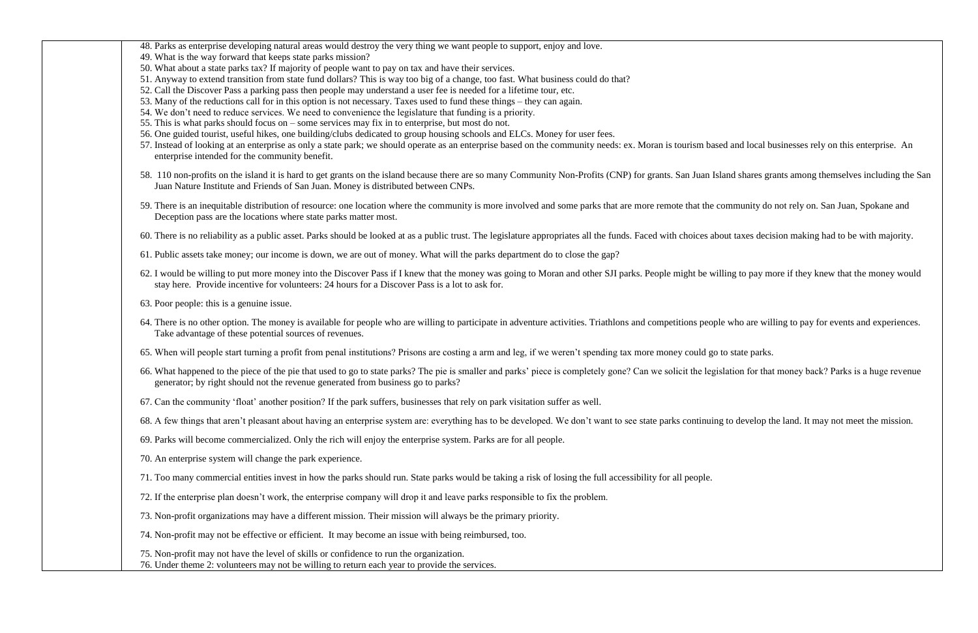| 49. What is the way forward that keeps state parks mission?<br>50. What about a state parks tax? If majority of people want to pay on tax and have their services.<br>51. Anyway to extend transition from state fund dollars? This is way too big of a change, too fast. What business could do that?<br>52. Call the Discover Pass a parking pass then people may understand a user fee is needed for a lifetime tour, etc.<br>53. Many of the reductions call for in this option is not necessary. Taxes used to fund these things – they can again.<br>54. We don't need to reduce services. We need to convenience the legislature that funding is a priority.<br>55. This is what parks should focus on $-$ some services may fix in to enterprise, but most do not.<br>56. One guided tourist, useful hikes, one building/clubs dedicated to group housing schools and ELCs. Money for user fees.<br>enterprise intended for the community benefit.<br>Juan Nature Institute and Friends of San Juan. Money is distributed between CNPs.<br>Deception pass are the locations where state parks matter most.<br>61. Public assets take money; our income is down, we are out of money. What will the parks department do to close the gap?<br>stay here. Provide incentive for volunteers: 24 hours for a Discover Pass is a lot to ask for.<br>63. Poor people: this is a genuine issue.<br>Take advantage of these potential sources of revenues.<br>generator; by right should not the revenue generated from business go to parks?<br>67. Can the community 'float' another position? If the park suffers, businesses that rely on park visitation suffer as well.<br>69. Parks will become commercialized. Only the rich will enjoy the enterprise system. Parks are for all people.<br>70. An enterprise system will change the park experience.<br>71. Too many commercial entities invest in how the parks should run. State parks would be taking a risk of losing the full accessibility for all people.<br>72. If the enterprise plan doesn't work, the enterprise company will drop it and leave parks responsible to fix the problem.<br>73. Non-profit organizations may have a different mission. Their mission will always be the primary priority.<br>74. Non-profit may not be effective or efficient. It may become an issue with being reimbursed, too.<br>75. Non-profit may not have the level of skills or confidence to run the organization.<br>76. Under theme 2: volunteers may not be willing to return each year to provide the services. | 48. Parks as enterprise developing natural areas would destroy the very thing we want people to support, enjoy and love.                                                     |
|------------------------------------------------------------------------------------------------------------------------------------------------------------------------------------------------------------------------------------------------------------------------------------------------------------------------------------------------------------------------------------------------------------------------------------------------------------------------------------------------------------------------------------------------------------------------------------------------------------------------------------------------------------------------------------------------------------------------------------------------------------------------------------------------------------------------------------------------------------------------------------------------------------------------------------------------------------------------------------------------------------------------------------------------------------------------------------------------------------------------------------------------------------------------------------------------------------------------------------------------------------------------------------------------------------------------------------------------------------------------------------------------------------------------------------------------------------------------------------------------------------------------------------------------------------------------------------------------------------------------------------------------------------------------------------------------------------------------------------------------------------------------------------------------------------------------------------------------------------------------------------------------------------------------------------------------------------------------------------------------------------------------------------------------------------------------------------------------------------------------------------------------------------------------------------------------------------------------------------------------------------------------------------------------------------------------------------------------------------------------------------------------------------------------------------------------------------------------------------------------------------------------------------------------------------------------------|------------------------------------------------------------------------------------------------------------------------------------------------------------------------------|
|                                                                                                                                                                                                                                                                                                                                                                                                                                                                                                                                                                                                                                                                                                                                                                                                                                                                                                                                                                                                                                                                                                                                                                                                                                                                                                                                                                                                                                                                                                                                                                                                                                                                                                                                                                                                                                                                                                                                                                                                                                                                                                                                                                                                                                                                                                                                                                                                                                                                                                                                                                              |                                                                                                                                                                              |
|                                                                                                                                                                                                                                                                                                                                                                                                                                                                                                                                                                                                                                                                                                                                                                                                                                                                                                                                                                                                                                                                                                                                                                                                                                                                                                                                                                                                                                                                                                                                                                                                                                                                                                                                                                                                                                                                                                                                                                                                                                                                                                                                                                                                                                                                                                                                                                                                                                                                                                                                                                              |                                                                                                                                                                              |
|                                                                                                                                                                                                                                                                                                                                                                                                                                                                                                                                                                                                                                                                                                                                                                                                                                                                                                                                                                                                                                                                                                                                                                                                                                                                                                                                                                                                                                                                                                                                                                                                                                                                                                                                                                                                                                                                                                                                                                                                                                                                                                                                                                                                                                                                                                                                                                                                                                                                                                                                                                              |                                                                                                                                                                              |
|                                                                                                                                                                                                                                                                                                                                                                                                                                                                                                                                                                                                                                                                                                                                                                                                                                                                                                                                                                                                                                                                                                                                                                                                                                                                                                                                                                                                                                                                                                                                                                                                                                                                                                                                                                                                                                                                                                                                                                                                                                                                                                                                                                                                                                                                                                                                                                                                                                                                                                                                                                              |                                                                                                                                                                              |
|                                                                                                                                                                                                                                                                                                                                                                                                                                                                                                                                                                                                                                                                                                                                                                                                                                                                                                                                                                                                                                                                                                                                                                                                                                                                                                                                                                                                                                                                                                                                                                                                                                                                                                                                                                                                                                                                                                                                                                                                                                                                                                                                                                                                                                                                                                                                                                                                                                                                                                                                                                              |                                                                                                                                                                              |
|                                                                                                                                                                                                                                                                                                                                                                                                                                                                                                                                                                                                                                                                                                                                                                                                                                                                                                                                                                                                                                                                                                                                                                                                                                                                                                                                                                                                                                                                                                                                                                                                                                                                                                                                                                                                                                                                                                                                                                                                                                                                                                                                                                                                                                                                                                                                                                                                                                                                                                                                                                              |                                                                                                                                                                              |
|                                                                                                                                                                                                                                                                                                                                                                                                                                                                                                                                                                                                                                                                                                                                                                                                                                                                                                                                                                                                                                                                                                                                                                                                                                                                                                                                                                                                                                                                                                                                                                                                                                                                                                                                                                                                                                                                                                                                                                                                                                                                                                                                                                                                                                                                                                                                                                                                                                                                                                                                                                              |                                                                                                                                                                              |
|                                                                                                                                                                                                                                                                                                                                                                                                                                                                                                                                                                                                                                                                                                                                                                                                                                                                                                                                                                                                                                                                                                                                                                                                                                                                                                                                                                                                                                                                                                                                                                                                                                                                                                                                                                                                                                                                                                                                                                                                                                                                                                                                                                                                                                                                                                                                                                                                                                                                                                                                                                              | 57. Instead of looking at an enterprise as only a state park; we should operate as an enterprise based on the community needs: ex. Moran is tourism based and local bu       |
|                                                                                                                                                                                                                                                                                                                                                                                                                                                                                                                                                                                                                                                                                                                                                                                                                                                                                                                                                                                                                                                                                                                                                                                                                                                                                                                                                                                                                                                                                                                                                                                                                                                                                                                                                                                                                                                                                                                                                                                                                                                                                                                                                                                                                                                                                                                                                                                                                                                                                                                                                                              | 58. 110 non-profits on the island it is hard to get grants on the island because there are so many Community Non-Profits (CNP) for grants. San Juan Island shares gra        |
|                                                                                                                                                                                                                                                                                                                                                                                                                                                                                                                                                                                                                                                                                                                                                                                                                                                                                                                                                                                                                                                                                                                                                                                                                                                                                                                                                                                                                                                                                                                                                                                                                                                                                                                                                                                                                                                                                                                                                                                                                                                                                                                                                                                                                                                                                                                                                                                                                                                                                                                                                                              | 59. There is an inequitable distribution of resource: one location where the community is more involved and some parks that are more remote that the community do a          |
|                                                                                                                                                                                                                                                                                                                                                                                                                                                                                                                                                                                                                                                                                                                                                                                                                                                                                                                                                                                                                                                                                                                                                                                                                                                                                                                                                                                                                                                                                                                                                                                                                                                                                                                                                                                                                                                                                                                                                                                                                                                                                                                                                                                                                                                                                                                                                                                                                                                                                                                                                                              | 60. There is no reliability as a public asset. Parks should be looked at as a public trust. The legislature appropriates all the funds. Faced with choices about taxes decis |
|                                                                                                                                                                                                                                                                                                                                                                                                                                                                                                                                                                                                                                                                                                                                                                                                                                                                                                                                                                                                                                                                                                                                                                                                                                                                                                                                                                                                                                                                                                                                                                                                                                                                                                                                                                                                                                                                                                                                                                                                                                                                                                                                                                                                                                                                                                                                                                                                                                                                                                                                                                              |                                                                                                                                                                              |
|                                                                                                                                                                                                                                                                                                                                                                                                                                                                                                                                                                                                                                                                                                                                                                                                                                                                                                                                                                                                                                                                                                                                                                                                                                                                                                                                                                                                                                                                                                                                                                                                                                                                                                                                                                                                                                                                                                                                                                                                                                                                                                                                                                                                                                                                                                                                                                                                                                                                                                                                                                              | 62. I would be willing to put more money into the Discover Pass if I knew that the money was going to Moran and other SJI parks. People might be willing to pay mo           |
|                                                                                                                                                                                                                                                                                                                                                                                                                                                                                                                                                                                                                                                                                                                                                                                                                                                                                                                                                                                                                                                                                                                                                                                                                                                                                                                                                                                                                                                                                                                                                                                                                                                                                                                                                                                                                                                                                                                                                                                                                                                                                                                                                                                                                                                                                                                                                                                                                                                                                                                                                                              |                                                                                                                                                                              |
|                                                                                                                                                                                                                                                                                                                                                                                                                                                                                                                                                                                                                                                                                                                                                                                                                                                                                                                                                                                                                                                                                                                                                                                                                                                                                                                                                                                                                                                                                                                                                                                                                                                                                                                                                                                                                                                                                                                                                                                                                                                                                                                                                                                                                                                                                                                                                                                                                                                                                                                                                                              | 64. There is no other option. The money is available for people who are willing to participate in adventure activities. Triathlons and competitions people who are will      |
|                                                                                                                                                                                                                                                                                                                                                                                                                                                                                                                                                                                                                                                                                                                                                                                                                                                                                                                                                                                                                                                                                                                                                                                                                                                                                                                                                                                                                                                                                                                                                                                                                                                                                                                                                                                                                                                                                                                                                                                                                                                                                                                                                                                                                                                                                                                                                                                                                                                                                                                                                                              | 65. When will people start turning a profit from penal institutions? Prisons are costing a arm and leg, if we weren't spending tax more money could go to state parks.       |
|                                                                                                                                                                                                                                                                                                                                                                                                                                                                                                                                                                                                                                                                                                                                                                                                                                                                                                                                                                                                                                                                                                                                                                                                                                                                                                                                                                                                                                                                                                                                                                                                                                                                                                                                                                                                                                                                                                                                                                                                                                                                                                                                                                                                                                                                                                                                                                                                                                                                                                                                                                              | 66. What happened to the piece of the pie that used to go to state parks? The pie is smaller and parks' piece is completely gone? Can we solicit the legislation for that    |
|                                                                                                                                                                                                                                                                                                                                                                                                                                                                                                                                                                                                                                                                                                                                                                                                                                                                                                                                                                                                                                                                                                                                                                                                                                                                                                                                                                                                                                                                                                                                                                                                                                                                                                                                                                                                                                                                                                                                                                                                                                                                                                                                                                                                                                                                                                                                                                                                                                                                                                                                                                              |                                                                                                                                                                              |
|                                                                                                                                                                                                                                                                                                                                                                                                                                                                                                                                                                                                                                                                                                                                                                                                                                                                                                                                                                                                                                                                                                                                                                                                                                                                                                                                                                                                                                                                                                                                                                                                                                                                                                                                                                                                                                                                                                                                                                                                                                                                                                                                                                                                                                                                                                                                                                                                                                                                                                                                                                              | 68. A few things that aren't pleasant about having an enterprise system are: everything has to be developed. We don't want to see state parks continuing to develop the      |
|                                                                                                                                                                                                                                                                                                                                                                                                                                                                                                                                                                                                                                                                                                                                                                                                                                                                                                                                                                                                                                                                                                                                                                                                                                                                                                                                                                                                                                                                                                                                                                                                                                                                                                                                                                                                                                                                                                                                                                                                                                                                                                                                                                                                                                                                                                                                                                                                                                                                                                                                                                              |                                                                                                                                                                              |
|                                                                                                                                                                                                                                                                                                                                                                                                                                                                                                                                                                                                                                                                                                                                                                                                                                                                                                                                                                                                                                                                                                                                                                                                                                                                                                                                                                                                                                                                                                                                                                                                                                                                                                                                                                                                                                                                                                                                                                                                                                                                                                                                                                                                                                                                                                                                                                                                                                                                                                                                                                              |                                                                                                                                                                              |
|                                                                                                                                                                                                                                                                                                                                                                                                                                                                                                                                                                                                                                                                                                                                                                                                                                                                                                                                                                                                                                                                                                                                                                                                                                                                                                                                                                                                                                                                                                                                                                                                                                                                                                                                                                                                                                                                                                                                                                                                                                                                                                                                                                                                                                                                                                                                                                                                                                                                                                                                                                              |                                                                                                                                                                              |
|                                                                                                                                                                                                                                                                                                                                                                                                                                                                                                                                                                                                                                                                                                                                                                                                                                                                                                                                                                                                                                                                                                                                                                                                                                                                                                                                                                                                                                                                                                                                                                                                                                                                                                                                                                                                                                                                                                                                                                                                                                                                                                                                                                                                                                                                                                                                                                                                                                                                                                                                                                              |                                                                                                                                                                              |
|                                                                                                                                                                                                                                                                                                                                                                                                                                                                                                                                                                                                                                                                                                                                                                                                                                                                                                                                                                                                                                                                                                                                                                                                                                                                                                                                                                                                                                                                                                                                                                                                                                                                                                                                                                                                                                                                                                                                                                                                                                                                                                                                                                                                                                                                                                                                                                                                                                                                                                                                                                              |                                                                                                                                                                              |
|                                                                                                                                                                                                                                                                                                                                                                                                                                                                                                                                                                                                                                                                                                                                                                                                                                                                                                                                                                                                                                                                                                                                                                                                                                                                                                                                                                                                                                                                                                                                                                                                                                                                                                                                                                                                                                                                                                                                                                                                                                                                                                                                                                                                                                                                                                                                                                                                                                                                                                                                                                              |                                                                                                                                                                              |
|                                                                                                                                                                                                                                                                                                                                                                                                                                                                                                                                                                                                                                                                                                                                                                                                                                                                                                                                                                                                                                                                                                                                                                                                                                                                                                                                                                                                                                                                                                                                                                                                                                                                                                                                                                                                                                                                                                                                                                                                                                                                                                                                                                                                                                                                                                                                                                                                                                                                                                                                                                              |                                                                                                                                                                              |

and local businesses rely on this enterprise. An nd shares grants among themselves including the San nmunity do not rely on. San Juan, Spokane and taxes decision making had to be with majority.

ng to pay more if they knew that the money would

who are willing to pay for events and experiences.

ttion for that money back? Parks is a huge revenue

b develop the land. It may not meet the mission.